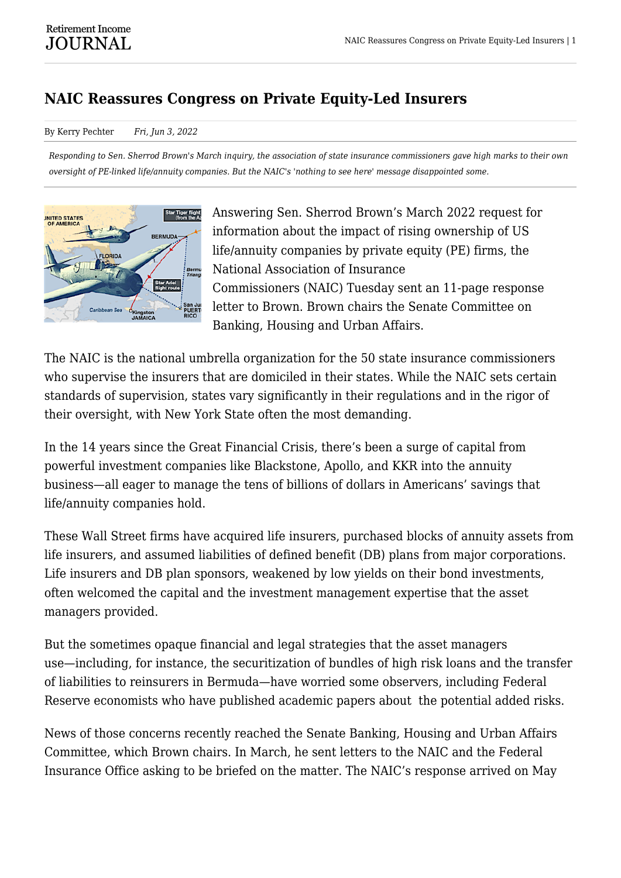## **NAIC Reassures Congress on Private Equity-Led Insurers**

## By Kerry Pechter *Fri, Jun 3, 2022*

*Responding to Sen. Sherrod Brown's March inquiry, the association of state insurance commissioners gave high marks to their own oversight of PE-linked life/annuity companies. But the NAIC's 'nothing to see here' message disappointed some.*



Answering Sen. Sherrod Brown's March 2022 request for information about the impact of rising ownership of US life/annuity companies by private equity (PE) firms, the National Association of Insurance Commissioners (NAIC) Tuesday sent an 11-page response letter to Brown. Brown chairs the Senate Committee on Banking, Housing and Urban Affairs.

The NAIC is the national umbrella organization for the 50 state insurance commissioners who supervise the insurers that are domiciled in their states. While the NAIC sets certain standards of supervision, states vary significantly in their regulations and in the rigor of their oversight, with New York State often the most demanding.

In the 14 years since the Great Financial Crisis, there's been a surge of capital from powerful investment companies like Blackstone, Apollo, and KKR into the annuity business—all eager to manage the tens of billions of dollars in Americans' savings that life/annuity companies hold.

These Wall Street firms have acquired life insurers, purchased blocks of annuity assets from life insurers, and assumed liabilities of defined benefit (DB) plans from major corporations. Life insurers and DB plan sponsors, weakened by low yields on their bond investments, often welcomed the capital and the investment management expertise that the asset managers provided.

But the sometimes opaque financial and legal strategies that the asset managers use—including, for instance, the securitization of bundles of high risk loans and the transfer of liabilities to reinsurers in Bermuda—have worried some observers, including Federal Reserve economists who have published academic papers about the potential added risks.

News of those concerns recently reached the Senate Banking, Housing and Urban Affairs Committee, which Brown chairs. In March, he sent letters to the NAIC and the Federal Insurance Office asking to be briefed on the matter. The NAIC's response arrived on May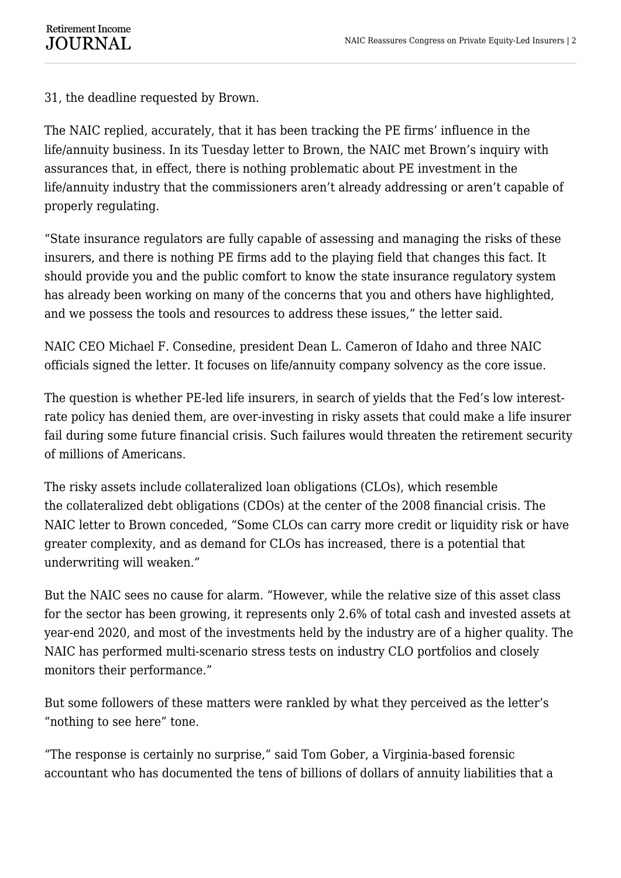31, the deadline requested by Brown.

The NAIC replied, accurately, that it has been tracking the PE firms' influence in the life/annuity business. In its Tuesday letter to Brown, the NAIC met Brown's inquiry with assurances that, in effect, there is nothing problematic about PE investment in the life/annuity industry that the commissioners aren't already addressing or aren't capable of properly regulating.

"State insurance regulators are fully capable of assessing and managing the risks of these insurers, and there is nothing PE firms add to the playing field that changes this fact. It should provide you and the public comfort to know the state insurance regulatory system has already been working on many of the concerns that you and others have highlighted, and we possess the tools and resources to address these issues," the letter said.

NAIC CEO Michael F. Consedine, president Dean L. Cameron of Idaho and three NAIC officials signed the letter. It focuses on life/annuity company solvency as the core issue.

The question is whether PE-led life insurers, in search of yields that the Fed's low interestrate policy has denied them, are over-investing in risky assets that could make a life insurer fail during some future financial crisis. Such failures would threaten the retirement security of millions of Americans.

The risky assets include collateralized loan obligations (CLOs), which resemble the collateralized debt obligations (CDOs) at the center of the 2008 financial crisis. The NAIC letter to Brown conceded, "Some CLOs can carry more credit or liquidity risk or have greater complexity, and as demand for CLOs has increased, there is a potential that underwriting will weaken."

But the NAIC sees no cause for alarm. "However, while the relative size of this asset class for the sector has been growing, it represents only 2.6% of total cash and invested assets at year-end 2020, and most of the investments held by the industry are of a higher quality. The NAIC has performed multi-scenario stress tests on industry CLO portfolios and closely monitors their performance."

But some followers of these matters were rankled by what they perceived as the letter's "nothing to see here" tone.

"The response is certainly no surprise," said Tom Gober, a Virginia-based forensic accountant who has documented the tens of billions of dollars of annuity liabilities that a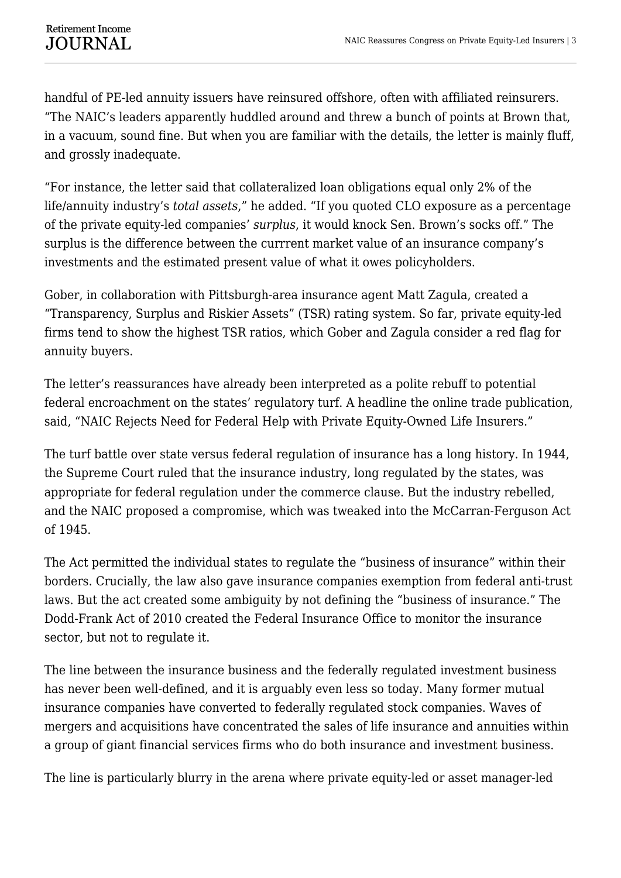handful of PE-led annuity issuers have reinsured offshore, often with affiliated reinsurers. "The NAIC's leaders apparently huddled around and threw a bunch of points at Brown that, in a vacuum, sound fine. But when you are familiar with the details, the letter is mainly fluff, and grossly inadequate.

"For instance, the letter said that collateralized loan obligations equal only 2% of the life/annuity industry's *total assets*," he added. "If you quoted CLO exposure as a percentage of the private equity-led companies' *surplus*, it would knock Sen. Brown's socks off." The surplus is the difference between the currrent market value of an insurance company's investments and the estimated present value of what it owes policyholders.

Gober, in collaboration with Pittsburgh-area insurance agent Matt Zagula, created a "Transparency, Surplus and Riskier Assets" (TSR) rating system. So far, private equity-led firms tend to show the highest TSR ratios, which Gober and Zagula consider a red flag for annuity buyers.

The letter's reassurances have already been interpreted as a polite rebuff to potential federal encroachment on the states' regulatory turf. A headline the online trade publication, said, "NAIC Rejects Need for Federal Help with Private Equity-Owned Life Insurers."

The turf battle over state versus federal regulation of insurance has a long history. In 1944, the Supreme Court ruled that the insurance industry, long regulated by the states, was appropriate for federal regulation under the commerce clause. But the industry rebelled, and the NAIC proposed a compromise, which was tweaked into the McCarran-Ferguson Act of 1945.

The Act permitted the individual states to regulate the "business of insurance" within their borders. Crucially, the law also gave insurance companies exemption from federal anti-trust laws. But the act created some ambiguity by not defining the "business of insurance." The Dodd-Frank Act of 2010 created the Federal Insurance Office to monitor the insurance sector, but not to regulate it.

The line between the insurance business and the federally regulated investment business has never been well-defined, and it is arguably even less so today. Many former mutual insurance companies have converted to federally regulated stock companies. Waves of mergers and acquisitions have concentrated the sales of life insurance and annuities within a group of giant financial services firms who do both insurance and investment business.

The line is particularly blurry in the arena where private equity-led or asset manager-led